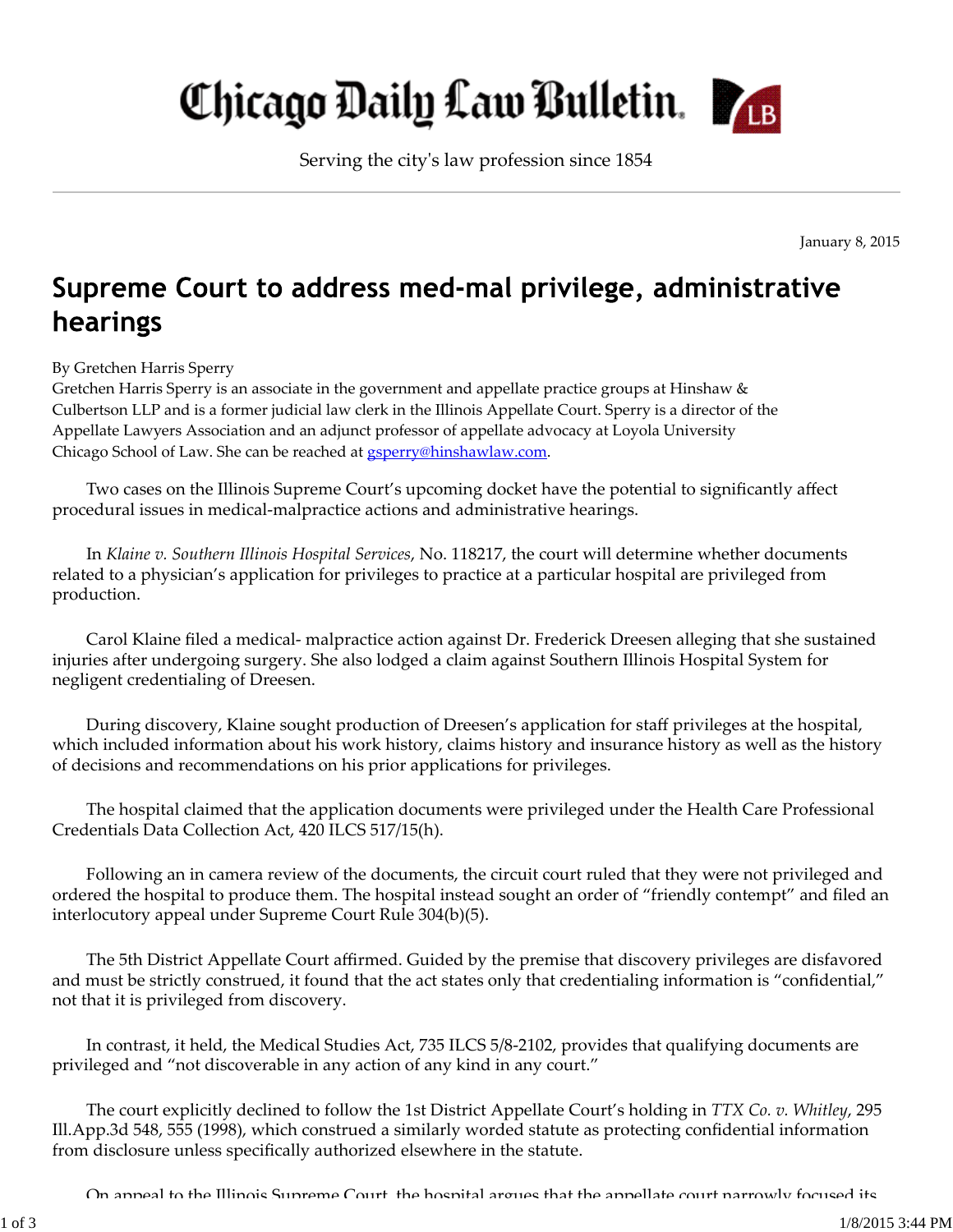## Chicago Daily Law Bulletin.

Serving the cityʹs law profession since 1854

January 8, 2015

## Supreme Court to address med-mal privilege, administrative hearings

By Gretchen Harris Sperry

Gretchen Harris Sperry is an associate in the government and appellate practice groups at Hinshaw & Culbertson LLP and is a former judicial law clerk in the Illinois Appellate Court. Sperry is a director of the Appellate Lawyers Association and an adjunct professor of appellate advocacy at Loyola University Chicago School of Law. She can be reached at **gsperry@hinshawlaw.com**.

Two cases on the Illinois Supreme Court's upcoming docket have the potential to significantly affect procedural issues in medical‐malpractice actions and administrative hearings.

In *Klaine v. Southern Illinois Hospital Services*, No. 118217, the court will determine whether documents related to a physician's application for privileges to practice at a particular hospital are privileged from production.

Carol Klaine filed a medical‐ malpractice action against Dr. Frederick Dreesen alleging that she sustained injuries after undergoing surgery. She also lodged a claim against Southern Illinois Hospital System for negligent credentialing of Dreesen.

During discovery, Klaine sought production of Dreesen's application for staff privileges at the hospital, which included information about his work history, claims history and insurance history as well as the history of decisions and recommendations on his prior applications for privileges.

The hospital claimed that the application documents were privileged under the Health Care Professional Credentials Data Collection Act, 420 ILCS 517/15(h).

Following an in camera review of the documents, the circuit court ruled that they were not privileged and ordered the hospital to produce them. The hospital instead sought an order of "friendly contempt" and filed an interlocutory appeal under Supreme Court Rule 304(b)(5).

The 5th District Appellate Court affirmed. Guided by the premise that discovery privileges are disfavored and must be strictly construed, it found that the act states only that credentialing information is "confidential," not that it is privileged from discovery.

In contrast, it held, the Medical Studies Act, 735 ILCS 5/8‐2102, provides that qualifying documents are privileged and "not discoverable in any action of any kind in any court."

The court explicitly declined to follow the 1st District Appellate Court's holding in *TTX Co. v. Whitley*, 295 Ill.App.3d 548, 555 (1998), which construed a similarly worded statute as protecting confidential information from disclosure unless specifically authorized elsewhere in the statute.

On appeal to the Illinois Supreme Court the hospital argues that the appellate court narrowly focused its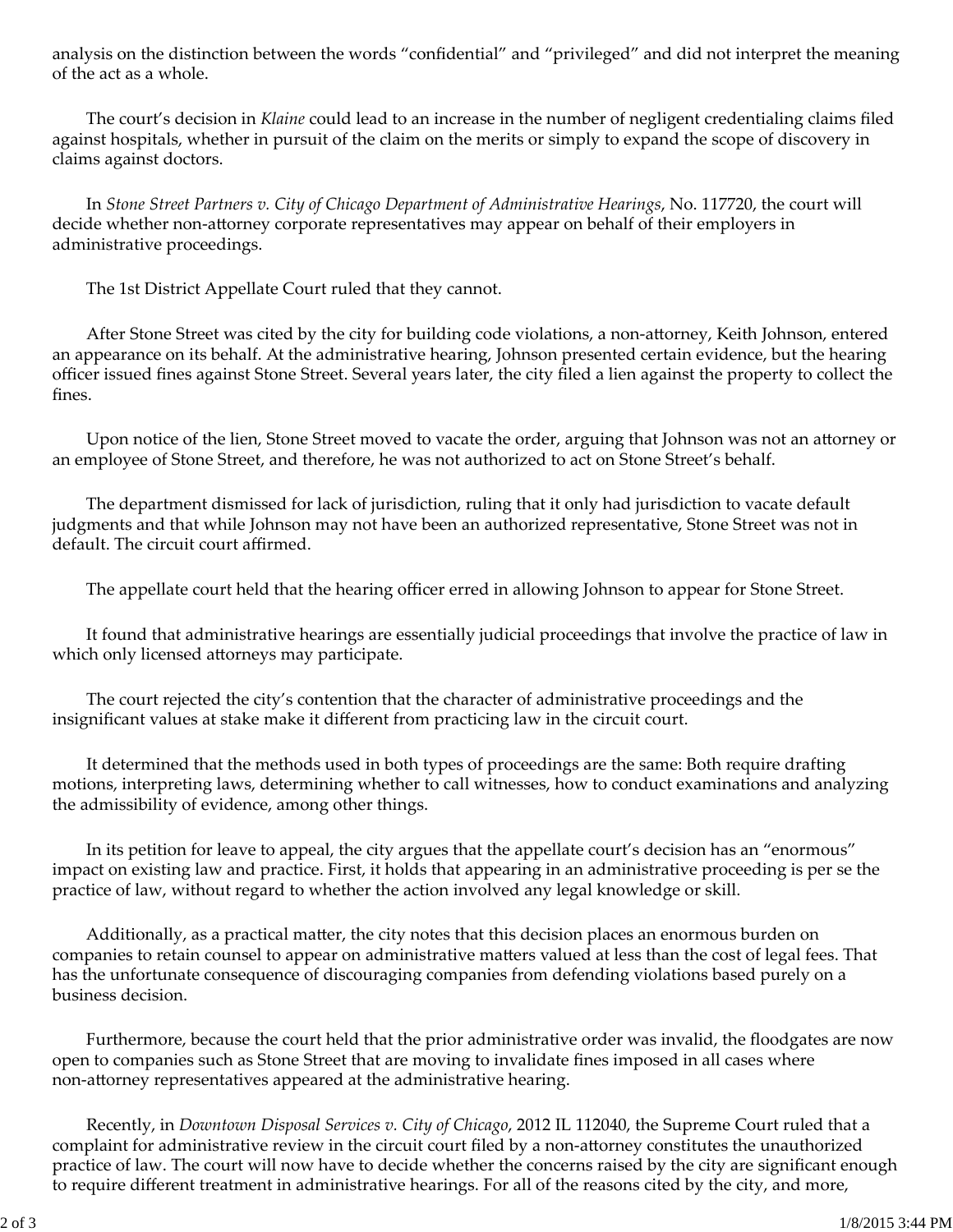analysis on the distinction between the words "confidential" and "privileged" and did not interpret the meaning of the act as a whole.

The court's decision in *Klaine* could lead to an increase in the number of negligent credentialing claims filed against hospitals, whether in pursuit of the claim on the merits or simply to expand the scope of discovery in claims against doctors.

In *Stone Street Partners v. City of Chicago Department of Administrative Hearings*, No. 117720, the court will decide whether non‐attorney corporate representatives may appear on behalf of their employers in administrative proceedings.

The 1st District Appellate Court ruled that they cannot.

After Stone Street was cited by the city for building code violations, a non-attorney, Keith Johnson, entered an appearance on its behalf. At the administrative hearing, Johnson presented certain evidence, but the hearing officer issued fines against Stone Street. Several years later, the city filed a lien against the property to collect the fines.

Upon notice of the lien, Stone Street moved to vacate the order, arguing that Johnson was not an attorney or an employee of Stone Street, and therefore, he was not authorized to act on Stone Street's behalf.

The department dismissed for lack of jurisdiction, ruling that it only had jurisdiction to vacate default judgments and that while Johnson may not have been an authorized representative, Stone Street was not in default. The circuit court affirmed.

The appellate court held that the hearing officer erred in allowing Johnson to appear for Stone Street.

It found that administrative hearings are essentially judicial proceedings that involve the practice of law in which only licensed attorneys may participate.

The court rejected the city's contention that the character of administrative proceedings and the insignificant values at stake make it different from practicing law in the circuit court.

It determined that the methods used in both types of proceedings are the same: Both require drafting motions, interpreting laws, determining whether to call witnesses, how to conduct examinations and analyzing the admissibility of evidence, among other things.

In its petition for leave to appeal, the city argues that the appellate court's decision has an "enormous" impact on existing law and practice. First, it holds that appearing in an administrative proceeding is per se the practice of law, without regard to whether the action involved any legal knowledge or skill.

Additionally, as a practical matter, the city notes that this decision places an enormous burden on companies to retain counsel to appear on administrative matters valued at less than the cost of legal fees. That has the unfortunate consequence of discouraging companies from defending violations based purely on a business decision.

Furthermore, because the court held that the prior administrative order was invalid, the floodgates are now open to companies such as Stone Street that are moving to invalidate fines imposed in all cases where non‐attorney representatives appeared at the administrative hearing.

Recently, in *Downtown Disposal Services v. City of Chicago*, 2012 IL 112040, the Supreme Court ruled that a complaint for administrative review in the circuit court filed by a non-attorney constitutes the unauthorized practice of law. The court will now have to decide whether the concerns raised by the city are significant enough to require different treatment in administrative hearings. For all of the reasons cited by the city, and more,